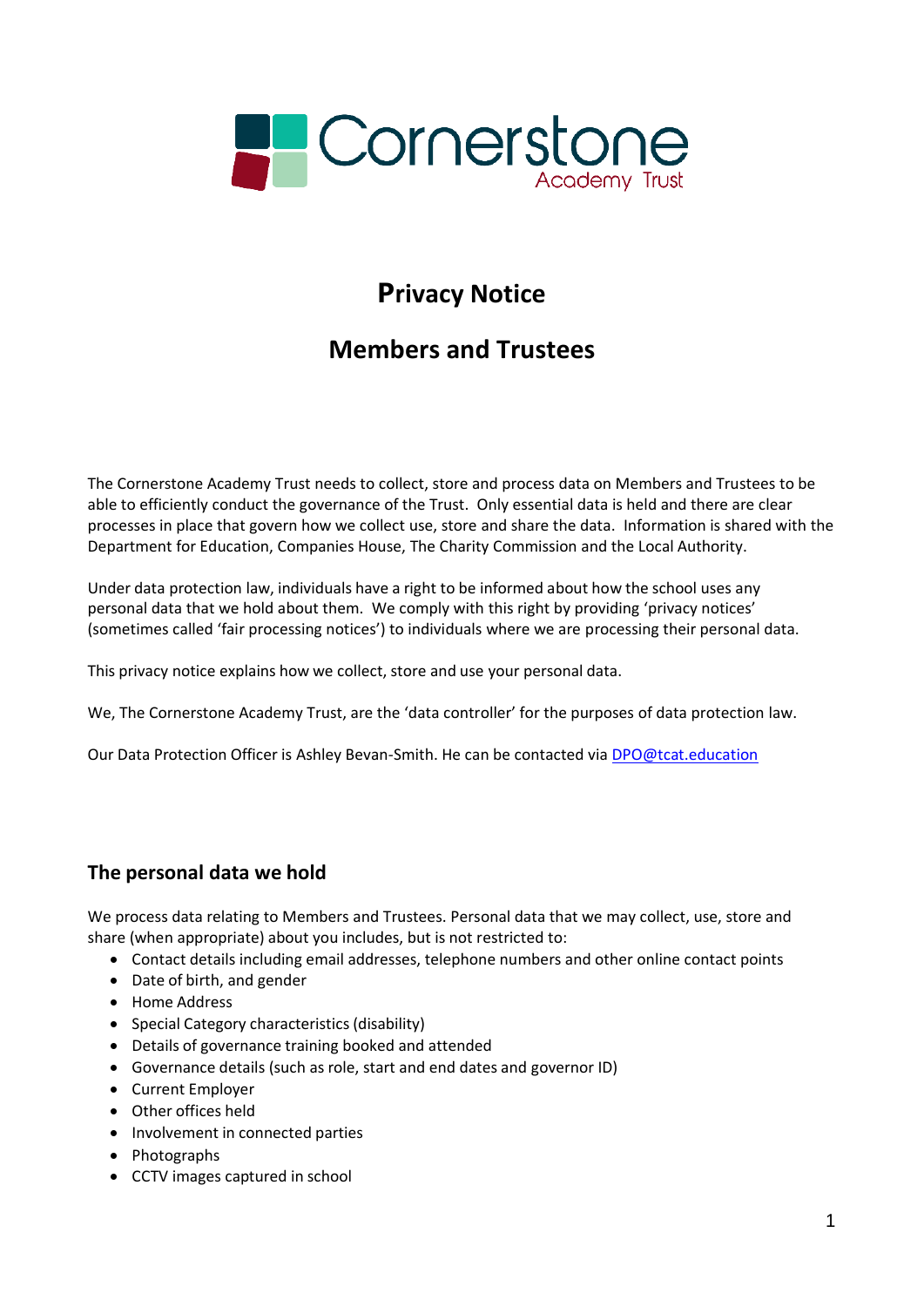

# **Privacy Notice**

# **Members and Trustees**

The Cornerstone Academy Trust needs to collect, store and process data on Members and Trustees to be able to efficiently conduct the governance of the Trust. Only essential data is held and there are clear processes in place that govern how we collect use, store and share the data. Information is shared with the Department for Education, Companies House, The Charity Commission and the Local Authority.

Under data protection law, individuals have a right to be informed about how the school uses any personal data that we hold about them. We comply with this right by providing 'privacy notices' (sometimes called 'fair processing notices') to individuals where we are processing their personal data.

This privacy notice explains how we collect, store and use your personal data.

We, The Cornerstone Academy Trust, are the 'data controller' for the purposes of data protection law.

Our Data Protection Officer is Ashley Bevan-Smith. He can be contacted via **DPO@tcat.education** 

## **The personal data we hold**

We process data relating to Members and Trustees. Personal data that we may collect, use, store and share (when appropriate) about you includes, but is not restricted to:

- Contact details including email addresses, telephone numbers and other online contact points
- Date of birth, and gender
- Home Address
- Special Category characteristics (disability)
- Details of governance training booked and attended
- Governance details (such as role, start and end dates and governor ID)
- Current Employer
- Other offices held
- Involvement in connected parties
- Photographs
- CCTV images captured in school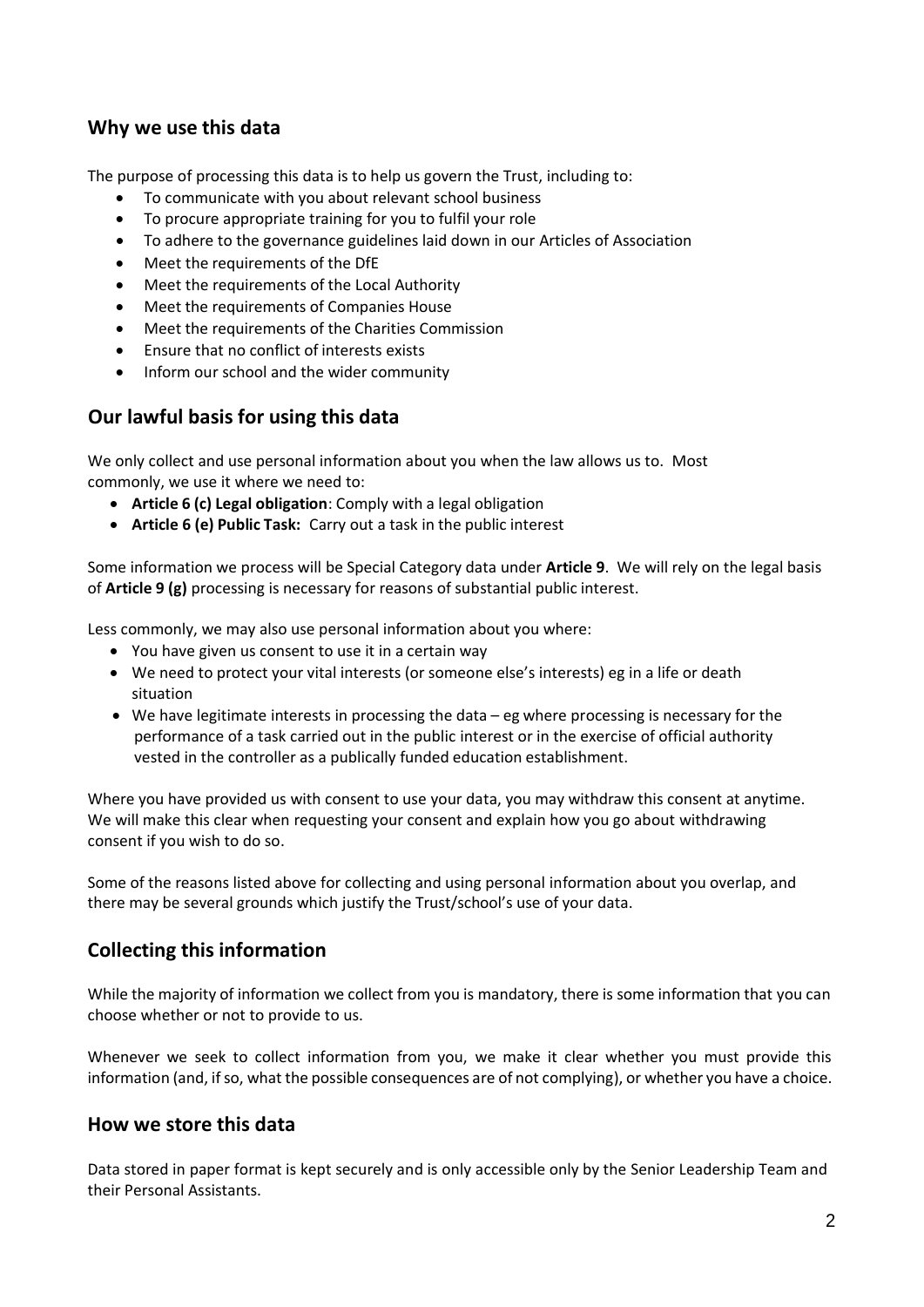# **Why we use this data**

The purpose of processing this data is to help us govern the Trust, including to:

- To communicate with you about relevant school business
- To procure appropriate training for you to fulfil your role
- To adhere to the governance guidelines laid down in our Articles of Association
- Meet the requirements of the DfE
- Meet the requirements of the Local Authority
- Meet the requirements of Companies House
- Meet the requirements of the Charities Commission
- Ensure that no conflict of interests exists
- Inform our school and the wider community

#### **Our lawful basis for using this data**

We only collect and use personal information about you when the law allows us to. Most commonly, we use it where we need to:

- **Article 6 (c) Legal obligation**: Comply with a legal obligation
- **Article 6 (e) Public Task:** Carry out a task in the public interest

Some information we process will be Special Category data under **Article 9**. We will rely on the legal basis of **Article 9 (g)** processing is necessary for reasons of substantial public interest.

Less commonly, we may also use personal information about you where:

- You have given us consent to use it in a certain way
- We need to protect your vital interests (or someone else's interests) eg in a life or death situation
- We have legitimate interests in processing the data eg where processing is necessary for the performance of a task carried out in the public interest or in the exercise of official authority vested in the controller as a publically funded education establishment.

Where you have provided us with consent to use your data, you may withdraw this consent at anytime. We will make this clear when requesting your consent and explain how you go about withdrawing consent if you wish to do so.

Some of the reasons listed above for collecting and using personal information about you overlap, and there may be several grounds which justify the Trust/school's use of your data.

## **Collecting this information**

While the majority of information we collect from you is mandatory, there is some information that you can choose whether or not to provide to us.

Whenever we seek to collect information from you, we make it clear whether you must provide this information (and, if so, what the possible consequences are of not complying), or whether you have a choice.

#### **How we store this data**

Data stored in paper format is kept securely and is only accessible only by the Senior Leadership Team and their Personal Assistants.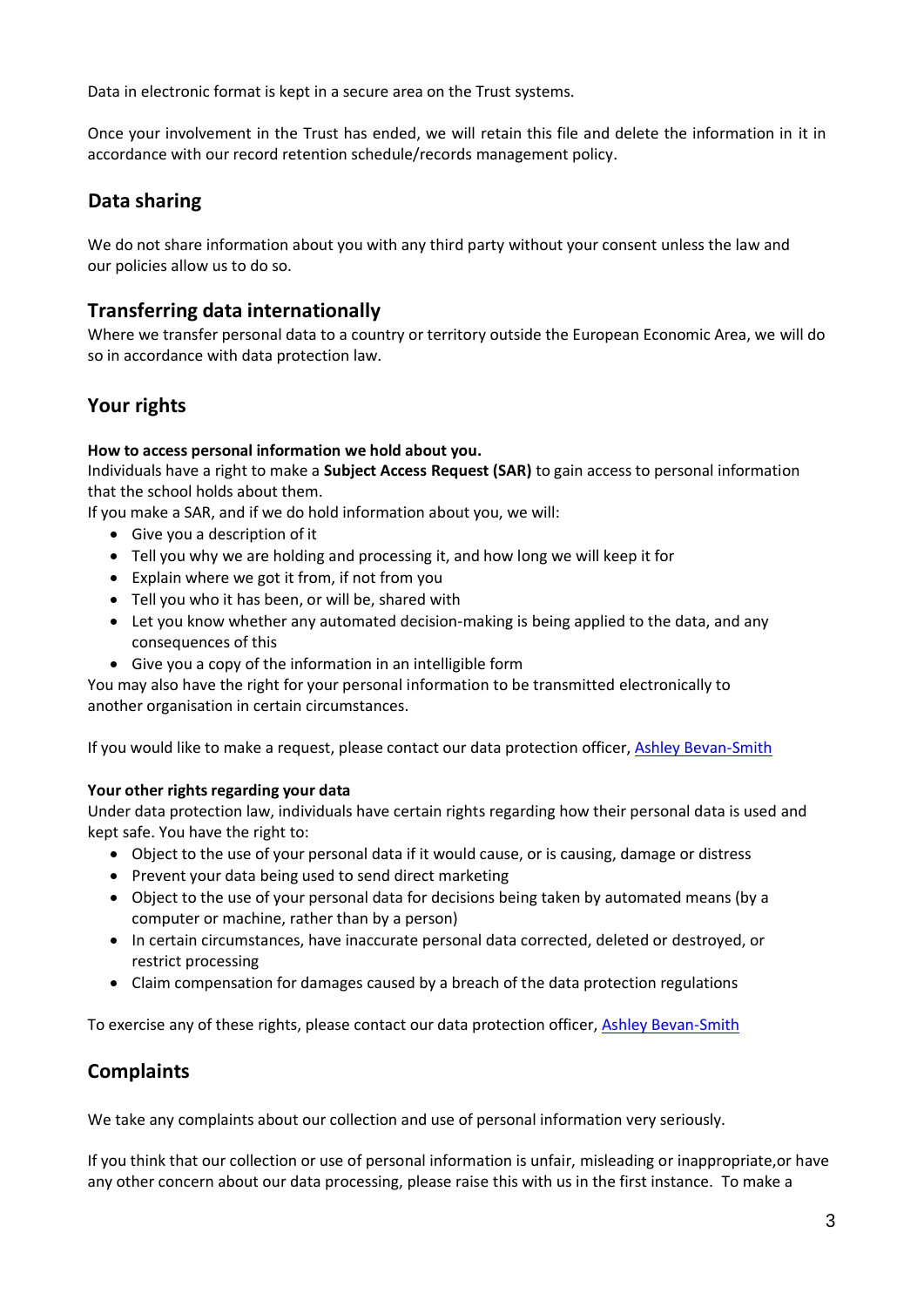Data in electronic format is kept in a secure area on the Trust systems.

Once your involvement in the Trust has ended, we will retain this file and delete the information in it in accordance with our record retention schedule/records management policy.

# **Data sharing**

We do not share information about you with any third party without your consent unless the law and our policies allow us to do so.

# **Transferring data internationally**

Where we transfer personal data to a country or territory outside the European Economic Area, we will do so in accordance with data protection law.

# **Your rights**

#### **How to access personal information we hold about you.**

Individuals have a right to make a **Subject Access Request (SAR)** to gain access to personal information that the school holds about them.

If you make a SAR, and if we do hold information about you, we will:

- Give you a description of it
- Tell you why we are holding and processing it, and how long we will keep it for
- Explain where we got it from, if not from you
- Tell you who it has been, or will be, shared with
- Let you know whether any automated decision-making is being applied to the data, and any consequences of this
- Give you a copy of the information in an intelligible form

You may also have the right for your personal information to be transmitted electronically to another organisation in certain circumstances.

If you would like to make a request, please contact our data protection officer, [Ashley Bevan-Smith](mailto:DPO@tcat.education)

#### **Your** other rights regarding your data

Under data protection law, individuals have certain rights regarding how their personal data is used and kept safe. You have the right to:

- Object to the use of your personal data if it would cause, or is causing, damage or distress
- Prevent your data being used to send direct marketing
- Object to the use of your personal data for decisions being taken by automated means (by a computer or machine, rather than by a person)
- In certain circumstances, have inaccurate personal data corrected, deleted or destroyed, or restrict processing
- Claim compensation for damages caused by a breach of the data protection regulations

To exercise any of these rights, please contact our data protection officer, [Ashley Bevan-Smith](mailto:DPO@tcat.education)

## **Complaints**

We take any complaints about our collection and use of personal information very seriously.

If you think that our collection or use of personal information is unfair, misleading or inappropriate,or have any other concern about our data processing, please raise this with us in the first instance. To make a